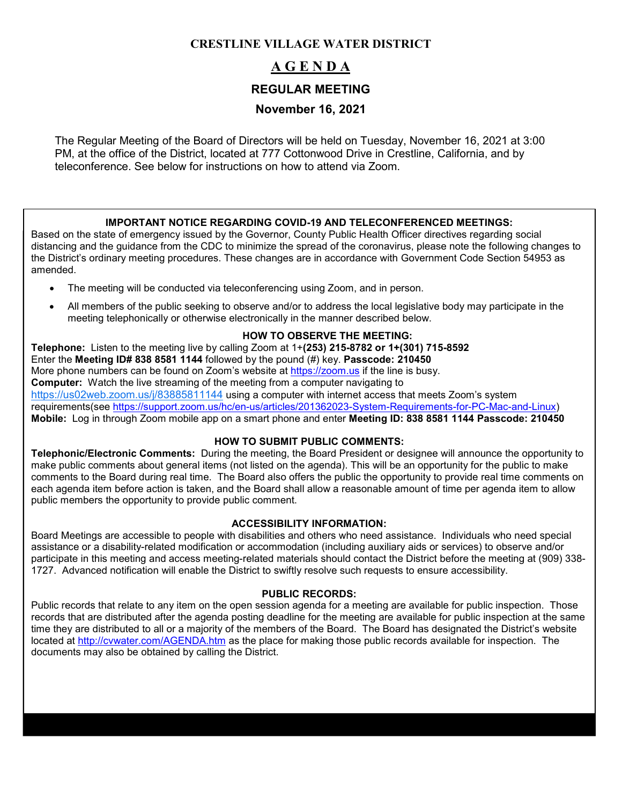### **CRESTLINE VILLAGE WATER DISTRICT**

# **A G E N D A REGULAR MEETING**

## **November 16, 2021**

The Regular Meeting of the Board of Directors will be held on Tuesday, November 16, 2021 at 3:00 PM, at the office of the District, located at 777 Cottonwood Drive in Crestline, California, and by teleconference. See below for instructions on how to attend via Zoom.

### **IMPORTANT NOTICE REGARDING COVID-19 AND TELECONFERENCED MEETINGS:**

Based on the state of emergency issued by the Governor, County Public Health Officer directives regarding social distancing and the guidance from the CDC to minimize the spread of the coronavirus, please note the following changes to the District's ordinary meeting procedures. These changes are in accordance with Government Code Section 54953 as amended.

- The meeting will be conducted via teleconferencing using Zoom, and in person.
- All members of the public seeking to observe and/or to address the local legislative body may participate in the meeting telephonically or otherwise electronically in the manner described below.

### **HOW TO OBSERVE THE MEETING:**

**Telephone:** Listen to the meeting live by calling Zoom at 1+**(253) 215-8782 or 1+(301) 715-8592** Enter the **Meeting ID# 838 8581 1144** followed by the pound (#) key. **Passcode: 210450** More phone numbers can be found on Zoom's website at [https://zoom.us](https://zoom.us/) if the line is busy. **Computer:** Watch the live streaming of the meeting from a computer navigating to <https://us02web.zoom.us/j/83885811144> using a computer with internet access that meets Zoom's system requirements(see [https://support.zoom.us/hc/en-us/articles/201362023-System-Requirements-for-PC-Mac-and-Linux\)](https://support.zoom.us/hc/en-us/articles/201362023-System-Requirements-for-PC-Mac-and-Linux) **Mobile:** Log in through Zoom mobile app on a smart phone and enter **Meeting ID: 838 8581 1144 Passcode: 210450**

### **HOW TO SUBMIT PUBLIC COMMENTS:**

**Telephonic/Electronic Comments:** During the meeting, the Board President or designee will announce the opportunity to make public comments about general items (not listed on the agenda). This will be an opportunity for the public to make comments to the Board during real time. The Board also offers the public the opportunity to provide real time comments on each agenda item before action is taken, and the Board shall allow a reasonable amount of time per agenda item to allow public members the opportunity to provide public comment.

#### **ACCESSIBILITY INFORMATION:**

Board Meetings are accessible to people with disabilities and others who need assistance. Individuals who need special assistance or a disability-related modification or accommodation (including auxiliary aids or services) to observe and/or participate in this meeting and access meeting-related materials should contact the District before the meeting at (909) 338- 1727. Advanced notification will enable the District to swiftly resolve such requests to ensure accessibility.

#### **PUBLIC RECORDS:**

Public records that relate to any item on the open session agenda for a meeting are available for public inspection. Those records that are distributed after the agenda posting deadline for the meeting are available for public inspection at the same time they are distributed to all or a majority of the members of the Board. The Board has designated the District's website located at<http://cvwater.com/AGENDA.htm> as the place for making those public records available for inspection. The documents may also be obtained by calling the District.